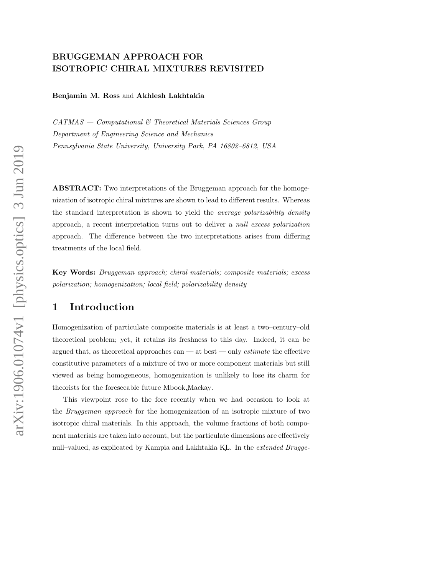# BRUGGEMAN APPROACH FOR ISOTROPIC CHIRAL MIXTURES REVISITED

Benjamin M. Ross and Akhlesh Lakhtakia

 $CATMAS - Computational \& Theoretical Materials Sciences Group$ Department of Engineering Science and Mechanics Pennsylvania State University, University Park, PA 16802–6812, USA

ABSTRACT: Two interpretations of the Bruggeman approach for the homogenization of isotropic chiral mixtures are shown to lead to different results. Whereas the standard interpretation is shown to yield the average polarizability density approach, a recent interpretation turns out to deliver a null excess polarization approach. The difference between the two interpretations arises from differing treatments of the local field.

Key Words: Bruggeman approach; chiral materials; composite materials; excess polarization; homogenization; local field; polarizability density

# 1 Introduction

Homogenization of particulate composite materials is at least a two–century–old theoretical problem; yet, it retains its freshness to this day. Indeed, it can be argued that, as theoretical approaches can — at best — only *estimate* the effective constitutive parameters of a mixture of two or more component materials but still viewed as being homogeneous, homogenization is unlikely to lose its charm for theorists for the foreseeable future Mbook,Mackay¸ .

This viewpoint rose to the fore recently when we had occasion to look at the Bruggeman approach for the homogenization of an isotropic mixture of two isotropic chiral materials. In this approach, the volume fractions of both component materials are taken into account, but the particulate dimensions are effectively null–valued, as explicated by Kampia and Lakhtakia KL. In the extended Brugge-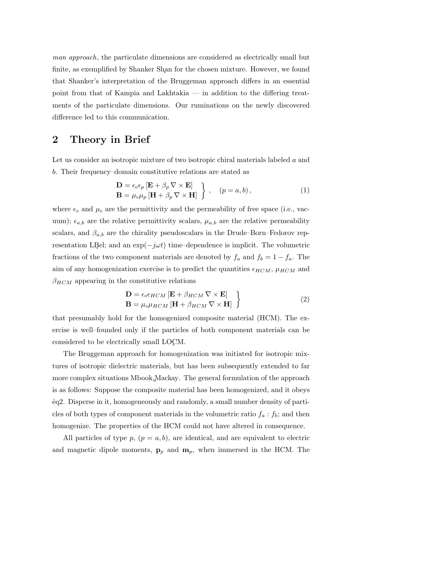man approach, the particulate dimensions are considered as electrically small but finite, as exemplified by Shanker Shan for the chosen mixture. However, we found that Shanker's interpretation of the Bruggeman approach differs in an essential point from that of Kampia and Lakhtakia — in addition to the differing treatments of the particulate dimensions. Our ruminations on the newly discovered difference led to this communication.

### 2 Theory in Brief

Let us consider an isotropic mixture of two isotropic chiral materials labeled a and b. Their frequency–domain constitutive relations are stated as

$$
\mathbf{D} = \epsilon_0 \epsilon_p \left[ \mathbf{E} + \beta_p \nabla \times \mathbf{E} \right] \n\mathbf{B} = \mu_0 \mu_p \left[ \mathbf{H} + \beta_p \nabla \times \mathbf{H} \right] , \quad (p = a, b),
$$
\n(1)

where  $\epsilon_0$  and  $\mu_0$  are the permittivity and the permeability of free space (i.e., vacuum);  $\epsilon_{a,b}$  are the relative permittivity scalars,  $\mu_{a,b}$  are the relative permeability scalars, and  $\beta_{a,b}$  are the chirality pseudoscalars in the Drude–Born–Fedorov representation LBel; and an  $\exp(-j\omega t)$  time–dependence is implicit. The volumetric fractions of the two component materials are denoted by  $f_a$  and  $f_b = 1 - f_a$ . The aim of any homogenization exercise is to predict the quantities  $\epsilon_{HCM}$ ,  $\mu_{HCM}$  and  $\beta_{HCM}$  appearing in the constitutive relations

$$
\mathbf{D} = \epsilon_0 \epsilon_{HCM} \left[ \mathbf{E} + \beta_{HCM} \nabla \times \mathbf{E} \right] \}
$$
  
\n
$$
\mathbf{B} = \mu_0 \mu_{HCM} \left[ \mathbf{H} + \beta_{HCM} \nabla \times \mathbf{H} \right]
$$
 (2)

that presumably hold for the homogenized composite material (HCM). The exercise is well–founded only if the particles of both component materials can be considered to be electrically small LOCM¸ .

The Bruggeman approach for homogenization was initiated for isotropic mixtures of isotropic dielectric materials, but has been subsequently extended to far more complex situations Mbook, Mackay. The general formulation of the approach is as follows: Suppose the composite material has been homogenized, and it obeys ˚eq2. Disperse in it, homogeneously and randomly, a small number density of particles of both types of component materials in the volumetric ratio  $f_a : f_b$ ; and then homogenize. The properties of the HCM could not have altered in consequence.

All particles of type  $p, (p = a, b)$ , are identical, and are equivalent to electric and magnetic dipole moments,  $\mathbf{p}_p$  and  $\mathbf{m}_p$ , when immersed in the HCM. The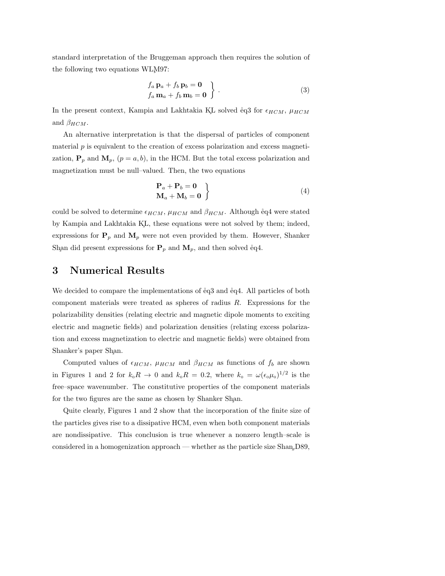standard interpretation of the Bruggeman approach then requires the solution of the following two equations WLM97:

$$
f_a \mathbf{p}_a + f_b \mathbf{p}_b = \mathbf{0}
$$
  

$$
f_a \mathbf{m}_a + f_b \mathbf{m}_b = \mathbf{0}
$$
 (3)

In the present context, Kampia and Lakhtakia KL solved  $\overset{1}{\text{e}}q3$  for  $\epsilon_{HCM}$ ,  $\mu_{HCM}$ and  $\beta_{HCM}$ .

An alternative interpretation is that the dispersal of particles of component material  $p$  is equivalent to the creation of excess polarization and excess magnetization,  $\mathbf{P}_p$  and  $\mathbf{M}_p$ ,  $(p = a, b)$ , in the HCM. But the total excess polarization and magnetization must be null–valued. Then, the two equations

$$
\left\{\n \begin{aligned}\n \mathbf{P}_a + \mathbf{P}_b &= \mathbf{0} \\
\mathbf{M}_a + \mathbf{M}_b &= \mathbf{0}\n \end{aligned}\n \right\}\n \tag{4}
$$

could be solved to determine  $\epsilon_{HCM}$ ,  $\mu_{HCM}$  and  $\beta_{HCM}$ . Although eq4 were stated by Kampia and Lakhtakia KL¸ , these equations were not solved by them; indeed, expressions for  $P_p$  and  $M_p$  were not even provided by them. However, Shanker Shan did present expressions for  $P_p$  and  $M_p$ , and then solved eq.

# 3 Numerical Results

We decided to compare the implementations of  $\lvert \rvert$  and  $\lvert \rvert$  and  $\lvert \rvert$  and  $\lvert$  and  $\lvert$  and  $\lvert$  and  $\lvert$  and  $\lvert$  and  $\lvert$  and  $\lvert$  and  $\lvert$  and  $\lvert$  and  $\lvert$  and  $\lvert$  and  $\lvert$  and  $\lvert$  and  $\lvert$  an component materials were treated as spheres of radius R. Expressions for the polarizability densities (relating electric and magnetic dipole moments to exciting electric and magnetic fields) and polarization densities (relating excess polarization and excess magnetization to electric and magnetic fields) were obtained from Shanker's paper Shan.

Computed values of  $\epsilon_{HCM}$ ,  $\mu_{HCM}$  and  $\beta_{HCM}$  as functions of  $f_b$  are shown in Figures 1 and 2 for  $k_0 R \to 0$  and  $k_0 R = 0.2$ , where  $k_0 = \omega(\epsilon_0 \mu_0)^{1/2}$  is the free–space wavenumber. The constitutive properties of the component materials for the two figures are the same as chosen by Shanker Shan.

Quite clearly, Figures 1 and 2 show that the incorporation of the finite size of the particles gives rise to a dissipative HCM, even when both component materials are nondissipative. This conclusion is true whenever a nonzero length–scale is considered in a homogenization approach — whether as the particle size Shan,D89¸ ,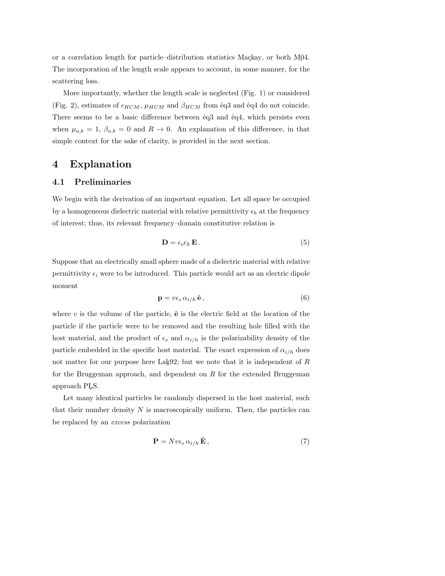or a correlation length for particle–distribution statistics Mackay, or both M04. The incorporation of the length scale appears to account, in some manner, for the scattering loss.

More importantly, whether the length scale is neglected (Fig. 1) or considered (Fig. 2), estimates of  $\epsilon_{HCM}$ ,  $\mu_{HCM}$  and  $\beta_{HCM}$  from eq3 and eq4 do not coincide. There seems to be a basic difference between  $\lvert e q 3 \rvert$  and  $\lvert e q 4 \rvert$ , which persists even when  $\mu_{a,b} = 1$ ,  $\beta_{a,b} = 0$  and  $R \to 0$ . An explanation of this difference, in that simple context for the sake of clarity, is provided in the next section.

# 4 Explanation

### 4.1 Preliminaries

We begin with the derivation of an important equation. Let all space be occupied by a homogeneous dielectric material with relative permittivity  $\epsilon_h$  at the frequency of interest; thus, its relevant frequency–domain constitutive relation is

$$
\mathbf{D} = \epsilon_0 \epsilon_h \mathbf{E} \,. \tag{5}
$$

Suppose that an electrically small sphere made of a dielectric material with relative permittivity  $\epsilon_i$  were to be introduced. This particle would act as an electric dipole moment

$$
\mathbf{p} = v\epsilon_0 \,\alpha_{i/h} \,\tilde{\mathbf{e}}\,,\tag{6}
$$

where v is the volume of the particle,  $\tilde{\mathbf{e}}$  is the electric field at the location of the particle if the particle were to be removed and the resulting hole filled with the host material, and the product of  $\epsilon_0$  and  $\alpha_{i/h}$  is the polarizability density of the particle embedded in the specific host material. The exact expression of  $\alpha_{i/h}$  does not matter for our purpose here Lak92; but we note that it is independent of  $R$ for the Bruggeman approach, and dependent on R for the extended Bruggeman approach PLS¸ .

Let many identical particles be randomly dispersed in the host material, such that their number density  $N$  is macroscopically uniform. Then, the particles can be replaced by an excess polarization

$$
\mathbf{P} = Nv\epsilon_0 \,\alpha_{i/h} \,\tilde{\mathbf{E}}\,,\tag{7}
$$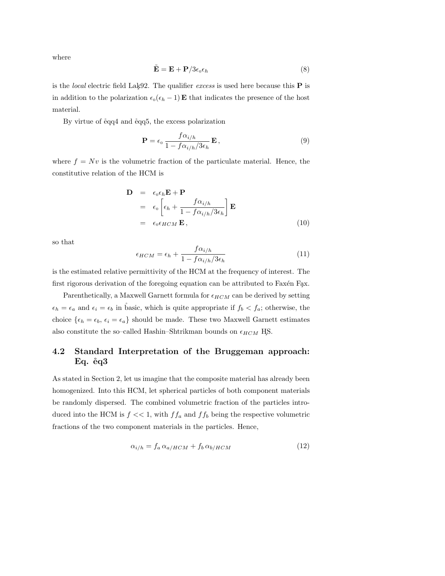where

$$
\tilde{\mathbf{E}} = \mathbf{E} + \mathbf{P}/3\epsilon_0 \epsilon_h \tag{8}
$$

is the *local* electric field Lak92. The qualifier *excess* is used here because this  $P$  is in addition to the polarization  $\epsilon_0(\epsilon_h - 1)$  **E** that indicates the presence of the host material.

By virtue of  $\text{\textdegree{eq4}}$  and  $\text{\textdegree{eq5}}$ , the excess polarization

$$
\mathbf{P} = \epsilon_0 \frac{f \alpha_{i/h}}{1 - f \alpha_{i/h} / 3\epsilon_h} \mathbf{E},
$$
\n(9)

where  $f = Nv$  is the volumetric fraction of the particulate material. Hence, the constitutive relation of the HCM is

$$
\mathbf{D} = \epsilon_0 \epsilon_h \mathbf{E} + \mathbf{P}
$$
  
=  $\epsilon_0 \left[ \epsilon_h + \frac{f \alpha_{i/h}}{1 - f \alpha_{i/h} / 3 \epsilon_h} \right] \mathbf{E}$   
=  $\epsilon_0 \epsilon_{HCM} \mathbf{E}$ , (10)

so that

$$
\epsilon_{HCM} = \epsilon_h + \frac{f \alpha_{i/h}}{1 - f \alpha_{i/h}/3\epsilon_h} \tag{11}
$$

is the estimated relative permittivity of the HCM at the frequency of interest. The first rigorous derivation of the foregoing equation can be attributed to Faxén Fax.

Parenthetically, a Maxwell Garnett formula for  $\epsilon_{HCM}$  can be derived by setting  $\epsilon_h = \epsilon_a$  and  $\epsilon_i = \epsilon_b$  in basic, which is quite appropriate if  $f_b < f_a$ ; otherwise, the choice  $\{\epsilon_h = \epsilon_b, \epsilon_i = \epsilon_a\}$  should be made. These two Maxwell Garnett estimates also constitute the so–called Hashin–Shtrikman bounds on  $\epsilon_{HCM}$  HS.

### 4.2 Standard Interpretation of the Bruggeman approach: Eq.  $\text{\e{e}}q3$

As stated in Section 2, let us imagine that the composite material has already been homogenized. Into this HCM, let spherical particles of both component materials be randomly dispersed. The combined volumetric fraction of the particles introduced into the HCM is  $f \ll 1$ , with  $f f_a$  and  $f f_b$  being the respective volumetric fractions of the two component materials in the particles. Hence,

$$
\alpha_{i/h} = f_a \alpha_{a/HCM} + f_b \alpha_{b/HCM} \tag{12}
$$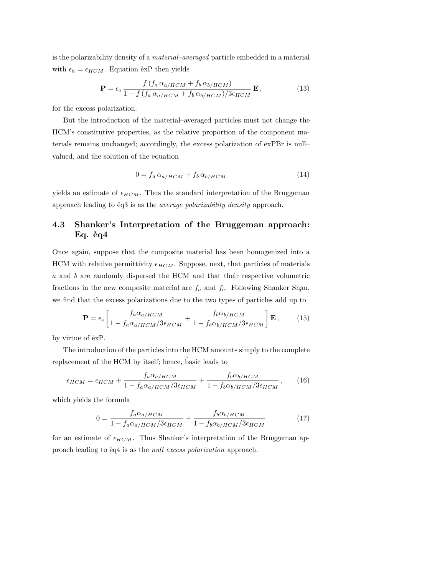is the polarizability density of a material–averaged particle embedded in a material with  $\epsilon_h = \epsilon_{HCM}$ . Equation exp then yields

$$
\mathbf{P} = \epsilon_0 \frac{f(f_a \alpha_{a/HCM} + f_b \alpha_{b/HCM})}{1 - f(f_a \alpha_{a/HCM} + f_b \alpha_{b/HCM})/3\epsilon_{HCM}} \mathbf{E},
$$
(13)

for the excess polarization.

But the introduction of the material–averaged particles must not change the HCM's constitutive properties, as the relative proportion of the component materials remains unchanged; accordingly, the excess polarization of  $\exp Br$  is null– valued, and the solution of the equation

$$
0 = f_a \alpha_{a/HCM} + f_b \alpha_{b/HCM} \tag{14}
$$

yields an estimate of  $\epsilon_{HCM}$ . Thus the standard interpretation of the Bruggeman approach leading to  $\overset{1}{e}q3$  is as the *average polarizability density* approach.

### 4.3 Shanker's Interpretation of the Bruggeman approach:  $Eq. eq4$

Once again, suppose that the composite material has been homogenized into a HCM with relative permittivity  $\epsilon_{HCM}$ . Suppose, next, that particles of materials a and b are randomly dispersed the HCM and that their respective volumetric fractions in the new composite material are  $f_a$  and  $f_b$ . Following Shanker Shan, we find that the excess polarizations due to the two types of particles add up to

$$
\mathbf{P} = \epsilon_0 \left[ \frac{f_a \alpha_{a/HCM}}{1 - f_a \alpha_{a/HCM} / 3\epsilon_{HCM}} + \frac{f_b \alpha_{b/HCM}}{1 - f_b \alpha_{b/HCM} / 3\epsilon_{HCM}} \right] \mathbf{E}, \qquad (15)
$$

by virtue of  $exP$ .

The introduction of the particles into the HCM amounts simply to the complete replacement of the HCM by itself; hence, basic leads to

$$
\epsilon_{HCM} = \epsilon_{HCM} + \frac{f_a \alpha_{a/HCM}}{1 - f_a \alpha_{a/HCM}/3\epsilon_{HCM}} + \frac{f_b \alpha_{b/HCM}}{1 - f_b \alpha_{b/HCM}/3\epsilon_{HCM}},
$$
(16)

which yields the formula

$$
0 = \frac{f_a \alpha_{a/HCM}}{1 - f_a \alpha_{a/HCM}/3\epsilon_{HCM}} + \frac{f_b \alpha_{b/HCM}}{1 - f_b \alpha_{b/HCM}/3\epsilon_{HCM}}
$$
(17)

for an estimate of  $\epsilon_{HCM}$ . Thus Shanker's interpretation of the Bruggeman approach leading to  $\dot{\text{e}}$ q4 is as the *null excess polarization* approach.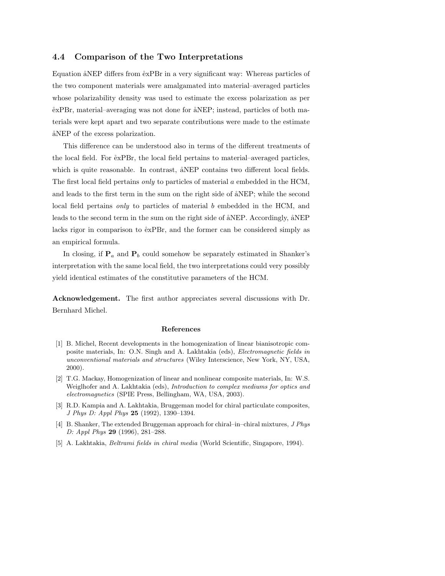#### 4.4 Comparison of the Two Interpretations

Equation åNEP differs from  $\overset{..}{e}$ xPBr in a very significant way: Whereas particles of the two component materials were amalgamated into material–averaged particles whose polarizability density was used to estimate the excess polarization as per  $\text{e}x\text{PBr}$ , material–averaging was not done for  $\text{a}N\text{EP}$ ; instead, particles of both materials were kept apart and two separate contributions were made to the estimate and NEP of the excess polarization.

This difference can be understood also in terms of the different treatments of the local field. For  $\exp Br$ , the local field pertains to material–averaged particles, which is quite reasonable. In contrast,  $\angle ANEP$  contains two different local fields. The first local field pertains only to particles of material a embedded in the HCM, and leads to the first term in the sum on the right side of  $\Delta$ NEP; while the second local field pertains *only* to particles of material b embedded in the HCM, and leads to the second term in the sum on the right side of  $\alpha$ NEP. Accordingly,  $\alpha$ NEP lacks rigor in comparison to  $\exp Br$ , and the former can be considered simply as an empirical formula.

In closing, if  $P_a$  and  $P_b$  could somehow be separately estimated in Shanker's interpretation with the same local field, the two interpretations could very possibly yield identical estimates of the constitutive parameters of the HCM.

Acknowledgement. The first author appreciates several discussions with Dr. Bernhard Michel.

#### References

- [1] B. Michel, Recent developments in the homogenization of linear bianisotropic composite materials, In: O.N. Singh and A. Lakhtakia (eds), Electromagnetic fields in unconventional materials and structures (Wiley Interscience, New York, NY, USA, 2000).
- [2] T.G. Mackay, Homogenization of linear and nonlinear composite materials, In: W.S. Weiglhofer and A. Lakhtakia (eds), Introduction to complex mediums for optics and electromagnetics (SPIE Press, Bellingham, WA, USA, 2003).
- [3] R.D. Kampia and A. Lakhtakia, Bruggeman model for chiral particulate composites, J Phys D: Appl Phys 25 (1992), 1390–1394.
- [4] B. Shanker, The extended Bruggeman approach for chiral–in–chiral mixtures, J Phys D: Appl Phys 29 (1996), 281-288.
- [5] A. Lakhtakia, Beltrami fields in chiral media (World Scientific, Singapore, 1994).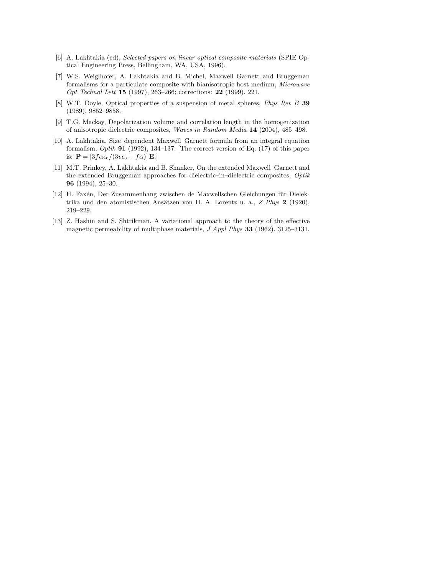- [6] A. Lakhtakia (ed), Selected papers on linear optical composite materials (SPIE Optical Engineering Press, Bellingham, WA, USA, 1996).
- [7] W.S. Weiglhofer, A. Lakhtakia and B. Michel, Maxwell Garnett and Bruggeman formalisms for a particulate composite with bianisotropic host medium, Microwave Opt Technol Lett 15 (1997), 263–266; corrections: 22 (1999), 221.
- [8] W.T. Doyle, Optical properties of a suspension of metal spheres, Phys Rev B 39 (1989), 9852–9858.
- [9] T.G. Mackay, Depolarization volume and correlation length in the homogenization of anisotropic dielectric composites, Waves in Random Media 14 (2004), 485–498.
- [10] A. Lakhtakia, Size–dependent Maxwell–Garnett formula from an integral equation formalism,  $Optik$  91 (1992), 134-137. [The correct version of Eq. (17) of this paper is:  $\mathbf{P} = [3f\alpha\epsilon_0/(3v\epsilon_0 - f\alpha)]\mathbf{E}.$
- [11] M.T. Prinkey, A. Lakhtakia and B. Shanker, On the extended Maxwell–Garnett and the extended Bruggeman approaches for dielectric–in–dielectric composites,  $Optik$ 96 (1994), 25–30.
- [12] H. Faxén, Der Zusammenhang zwischen de Maxwellschen Gleichungen für Dielektrika und den atomistischen Ansätzen von H. A. Lorentz u. a.,  $Z$  Phys  $2$  (1920), 219–229.
- [13] Z. Hashin and S. Shtrikman, A variational approach to the theory of the effective magnetic permeability of multiphase materials, J Appl Phys 33 (1962), 3125–3131.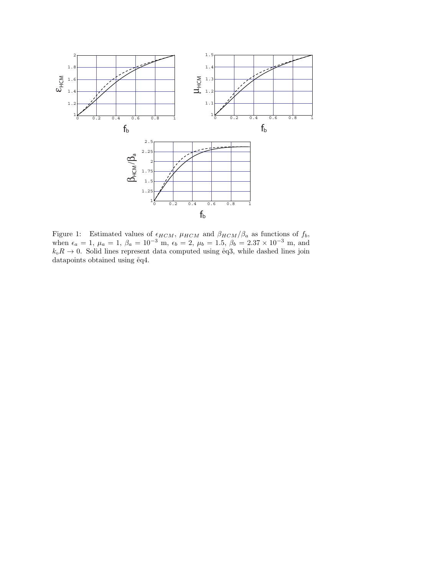

Figure 1: Estimated values of  $\epsilon_{HCM}$ ,  $\mu_{HCM}$  and  $\beta_{HCM}/\beta_a$  as functions of  $f_b$ , when  $\epsilon_a = 1$ ,  $\mu_a = 1$ ,  $\beta_a = 10^{-3}$  m,  $\epsilon_b = 2$ ,  $\mu_b = 1.5$ ,  $\beta_b = 2.37 \times 10^{-3}$  m, and  $k_0R \to 0$ . Solid lines represent data computed using eq3, while dashed lines join datapoints obtained using  $\text{\r{e}}q4$ .